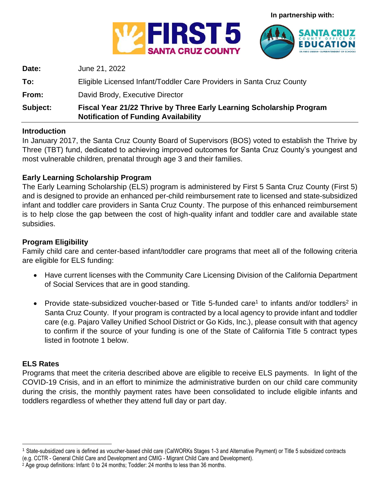



| Subject: | Fiscal Year 21/22 Thrive by Three Early Learning Scholarship Program<br><b>Notification of Funding Availability</b> |
|----------|---------------------------------------------------------------------------------------------------------------------|
| From:    | David Brody, Executive Director                                                                                     |
| To:      | Eligible Licensed Infant/Toddler Care Providers in Santa Cruz County                                                |
| Date:    | June 21, 2022                                                                                                       |

#### **Introduction**

In January 2017, the Santa Cruz County Board of Supervisors (BOS) voted to establish the Thrive by Three (TBT) fund, dedicated to achieving improved outcomes for Santa Cruz County's youngest and most vulnerable children, prenatal through age 3 and their families.

## **Early Learning Scholarship Program**

The Early Learning Scholarship (ELS) program is administered by First 5 Santa Cruz County (First 5) and is designed to provide an enhanced per-child reimbursement rate to licensed and state-subsidized infant and toddler care providers in Santa Cruz County. The purpose of this enhanced reimbursement is to help close the gap between the cost of high-quality infant and toddler care and available state subsidies.

# **Program Eligibility**

Family child care and center-based infant/toddler care programs that meet all of the following criteria are eligible for ELS funding:

- Have current licenses with the Community Care Licensing Division of the California Department of Social Services that are in good standing.
- Provide state-subsidized voucher-based or Title 5-funded care<sup>1</sup> to infants and/or toddlers<sup>2</sup> in Santa Cruz County. If your program is contracted by a local agency to provide infant and toddler care (e.g. Pajaro Valley Unified School District or Go Kids, Inc.), please consult with that agency to confirm if the source of your funding is one of the State of California Title 5 contract types listed in footnote 1 below.

# **ELS Rates**

Programs that meet the criteria described above are eligible to receive ELS payments. In light of the COVID-19 Crisis, and in an effort to minimize the administrative burden on our child care community during the crisis, the monthly payment rates have been consolidated to include eligible infants and toddlers regardless of whether they attend full day or part day.

<sup>1</sup> State-subsidized care is defined as voucher-based child care (CalWORKs Stages 1-3 and Alternative Payment) or Title 5 subsidized contracts (e.g. CCTR - General Child Care and Development and CMIG - Migrant Child Care and Development).

<sup>2</sup> Age group definitions: Infant: 0 to 24 months; Toddler: 24 months to less than 36 months.